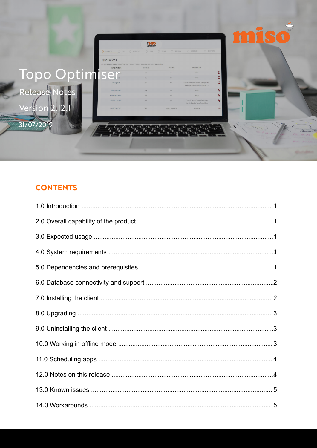|                | <b>O</b> EXTRACTS                                                                                                                        | $\frac{\mathbf{0} \cdot \mathbf{0} \cdot \mathbf{0}}{\mathbf{0} \cdot \mathbf{0} \cdot \mathbf{0}}$<br>O ADD O PRODUCTS O AREA O TILING O SUMMARY |                    | O COMPLETE<br><b>PROGRESS</b>                                                     |                |  |
|----------------|------------------------------------------------------------------------------------------------------------------------------------------|---------------------------------------------------------------------------------------------------------------------------------------------------|--------------------|-----------------------------------------------------------------------------------|----------------|--|
|                | Translations                                                                                                                             |                                                                                                                                                   |                    |                                                                                   |                |  |
|                | Use the Translations screen to re-run / customise a previous translation or click 'Next' to create a new translation.<br>Name of extract | Repository                                                                                                                                        | Destination        | Parameter File                                                                    |                |  |
|                |                                                                                                                                          | N/A                                                                                                                                               | na                 | default                                                                           | $\circledcirc$ |  |
|                |                                                                                                                                          | $N/\Delta$                                                                                                                                        | nA                 | default                                                                           | $\circledcirc$ |  |
| Topo Optimiser |                                                                                                                                          | N/A                                                                                                                                               | <b>null</b>        | C:\Users\jcrampton\Desktop\Tonbridge&Mal<br>Re-Run\params\new.defaultexpanded.sps | $^{\circ}$     |  |
|                |                                                                                                                                          | N/L                                                                                                                                               | red                | default                                                                           | $\circledcirc$ |  |
|                |                                                                                                                                          | N/A                                                                                                                                               | ndi                | default                                                                           | $^{\circ}$     |  |
|                | SouthwarkTABTest                                                                                                                         | N/A                                                                                                                                               | multi-             | C:\Users\jcrampton\Desktop\Southwark<br>Council - Dataflow Testing\default6.sps   | $^{\circ}$     |  |
| ersion         | HullCityTopoDWG                                                                                                                          | N/A                                                                                                                                               | Hull_City_Topo_DWG | defaultExp                                                                        | $\circledcirc$ |  |
|                |                                                                                                                                          |                                                                                                                                                   |                    |                                                                                   |                |  |
| 31/07/20       |                                                                                                                                          |                                                                                                                                                   |                    |                                                                                   |                |  |

# **CONTENTS**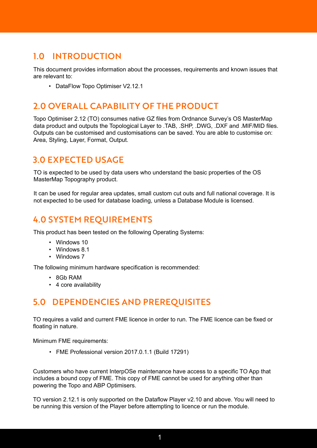## 1.0 INTRODUCTION

This document provides information about the processes, requirements and known issues that are relevant to:

• DataFlow Topo Optimiser V2.12.1

### 2.0 OVERALL CAPABILITY OF THE PRODUCT

Topo Optimiser 2.12 (TO) consumes native GZ files from Ordnance Survey's OS MasterMap data product and outputs the Topological Layer to .TAB, .SHP, .DWG, .DXF and .MIF/MID files. Outputs can be customised and customisations can be saved. You are able to customise on: Area, Styling, Layer, Format, Output.

#### 3.0 EXPECTED USAGE

TO is expected to be used by data users who understand the basic properties of the OS MasterMap Topography product.

It can be used for regular area updates, small custom cut outs and full national coverage. It is not expected to be used for database loading, unless a Database Module is licensed.

## 4.0 SYSTEM REQUIREMENTS

This product has been tested on the following Operating Systems:

- Windows 10
- Windows 8.1
- Windows 7

The following minimum hardware specification is recommended:

- 8Gb RAM
- 4 core availability

#### 5.0 DEPENDENCIES AND PREREQUISITES

TO requires a valid and current FME licence in order to run. The FME licence can be fixed or floating in nature.

Minimum FME requirements:

• FME Professional version 2017.0.1.1 (Build 17291)

Customers who have current InterpOSe maintenance have access to a specific TO App that includes a bound copy of FME. This copy of FME cannot be used for anything other than powering the Topo and ABP Optimisers.

TO version 2.12.1 is only supported on the Dataflow Player v2.10 and above. You will need to be running this version of the Player before attempting to licence or run the module.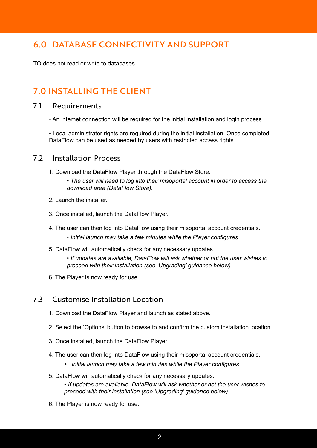## 6.0 DATABASE CONNECTIVITY AND SUPPORT

TO does not read or write to databases.

## 7.0 INSTALLING THE CLIENT

#### 7.1 Requirements

• An internet connection will be required for the initial installation and login process.

• Local administrator rights are required during the initial installation. Once completed, DataFlow can be used as needed by users with restricted access rights.

#### 7.2 Installation Process

- 1. Download the DataFlow Player through the DataFlow Store.
	- *The user will need to log into their misoportal account in order to access the download area (DataFlow Store).*
- 2. Launch the installer.
- 3. Once installed, launch the DataFlow Player.
- 4. The user can then log into DataFlow using their misoportal account credentials.
	- *Initial launch may take a few minutes while the Player configures.*
- 5. DataFlow will automatically check for any necessary updates.
	- *If updates are available, DataFlow will ask whether or not the user wishes to proceed with their installation (see 'Upgrading' guidance below).*
- 6. The Player is now ready for use.

#### 7.3 Customise Installation Location

- 1. Download the DataFlow Player and launch as stated above.
- 2. Select the 'Options' button to browse to and confirm the custom installation location.
- 3. Once installed, launch the DataFlow Player.
- 4. The user can then log into DataFlow using their misoportal account credentials.
	- *Initial launch may take a few minutes while the Player configures.*
- 5. DataFlow will automatically check for any necessary updates.

*• If updates are available, DataFlow will ask whether or not the user wishes to proceed with their installation (see 'Upgrading' guidance below).*

6. The Player is now ready for use.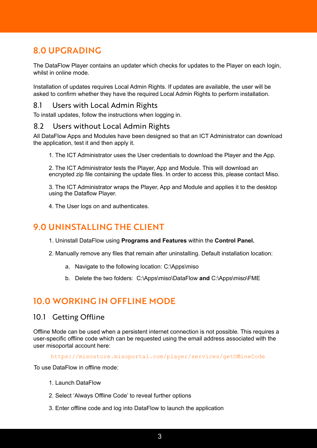# 8.0 UPGRADING

The DataFlow Player contains an updater which checks for updates to the Player on each login, whilst in online mode.

Installation of updates requires Local Admin Rights. If updates are available, the user will be asked to confirm whether they have the required Local Admin Rights to perform installation.

#### 8.1 Users with Local Admin Rights

To install updates, follow the instructions when logging in.

#### 8.2 Users without Local Admin Rights

All DataFlow Apps and Modules have been designed so that an ICT Administrator can download the application, test it and then apply it.

1. The ICT Administrator uses the User credentials to download the Player and the App.

2. The ICT Administrator tests the Player, App and Module. This will download an encrypted zip file containing the update files. In order to access this, please contact Miso.

3. The ICT Administrator wraps the Player, App and Module and applies it to the desktop using the Dataflow Player.

4. The User logs on and authenticates.

## 9.0 UNINSTALLING THE CLIENT

- 1. Uninstall DataFlow using **Programs and Features** within the **Control Panel.**
- 2. Manually remove any files that remain after uninstalling. Default installation location:
	- a. Navigate to the following location: C:\Apps\miso
	- b. Delete the two folders: C:\Apps\miso\DataFlow **and** C:\Apps\miso\FME

## 10.0 WORKING IN OFFLINE MODE

#### 10.1 Getting Offline

Offline Mode can be used when a persistent internet connection is not possible. This requires a user-specific offline code which can be requested using the email address associated with the user misoportal account here:

https://misostore.misoportal.com/player/services/getOfflineCode

To use DataFlow in offline mode:

- 1. Launch DataFlow
- 2. Select 'Always Offline Code' to reveal further options
- 3. Enter offline code and log into DataFlow to launch the application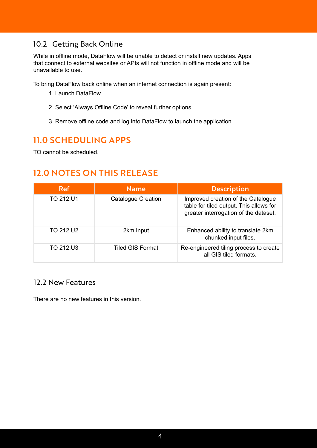#### 10.2 Getting Back Online

While in offline mode, DataFlow will be unable to detect or install new updates. Apps that connect to external websites or APIs will not function in offline mode and will be unavailable to use.

To bring DataFlow back online when an internet connection is again present:

- 1. Launch DataFlow
- 2. Select 'Always Offline Code' to reveal further options
- 3. Remove offline code and log into DataFlow to launch the application

## 11.0 SCHEDULING APPS

TO cannot be scheduled.

## 12.0 NOTES ON THIS RELEASE

| <b>Ref</b> | <b>Name</b>               | <b>Description</b>                                                                                                     |
|------------|---------------------------|------------------------------------------------------------------------------------------------------------------------|
| TO 212.U1  | <b>Catalogue Creation</b> | Improved creation of the Catalogue<br>table for tiled output. This allows for<br>greater interrogation of the dataset. |
| TO 212.U2  | 2km Input                 | Enhanced ability to translate 2km<br>chunked input files.                                                              |
| TO 212.U3  | <b>Tiled GIS Format</b>   | Re-engineered tiling process to create<br>all GIS tiled formats.                                                       |

#### 12.2 New Features

There are no new features in this version.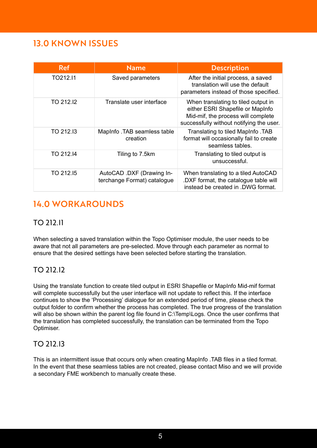## 13.0 KNOWN ISSUES

| <b>Ref</b> | <b>Name</b>                                              | <b>Description</b>                                                                                                                                        |  |  |
|------------|----------------------------------------------------------|-----------------------------------------------------------------------------------------------------------------------------------------------------------|--|--|
| TO212.I1   | Saved parameters                                         | After the initial process, a saved<br>translation will use the default<br>parameters instead of those specified.                                          |  |  |
| TO 212.12  | Translate user interface                                 | When translating to tiled output in<br>either ESRI Shapefile or MapInfo<br>Mid-mif, the process will complete<br>successfully without notifying the user. |  |  |
| TO 212.13  | MapInfo. TAB seamless table<br>creation                  | Translating to tiled MapInfo .TAB<br>format will occasionally fail to create<br>seamless tables.                                                          |  |  |
| TO 212.14  | Tiling to 7.5km                                          | Translating to tiled output is<br>unsuccessful.                                                                                                           |  |  |
| TO 212.15  | AutoCAD .DXF (Drawing In-<br>terchange Format) catalogue | When translating to a tiled AutoCAD<br>.DXF format, the catalogue table will<br>instead be created in .DWG format.                                        |  |  |

# 14.0 WORKAROUNDS

#### TO 212.I1

When selecting a saved translation within the Topo Optimiser module, the user needs to be aware that not all parameters are pre-selected. Move through each parameter as normal to ensure that the desired settings have been selected before starting the translation.

#### TO 212.I2

Using the translate function to create tiled output in ESRI Shapefile or MapInfo Mid-mif format will complete successfully but the user interface will not update to reflect this. If the interface continues to show the 'Processing' dialogue for an extended period of time, please check the output folder to confirm whether the process has completed. The true progress of the translation will also be shown within the parent log file found in C:\Temp\Logs. Once the user confirms that the translation has completed successfully, the translation can be terminated from the Topo Optimiser.

#### TO 212.I3

This is an intermittent issue that occurs only when creating MapInfo .TAB files in a tiled format. In the event that these seamless tables are not created, please contact Miso and we will provide a secondary FME workbench to manually create these.